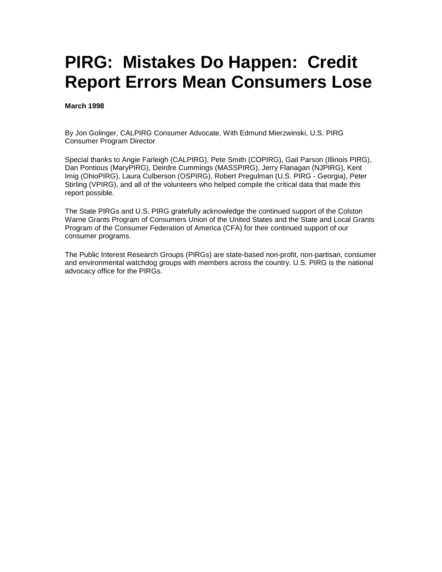# **PIRG: Mistakes Do Happen: Credit Report Errors Mean Consumers Lose**

**March 1998** 

By Jon Golinger, CALPIRG Consumer Advocate, With Edmund Mierzwinski, U.S. PIRG Consumer Program Director

Special thanks to Angie Farleigh (CALPIRG), Pete Smith (COPIRG), Gail Parson (Illinois PIRG), Dan Pontious (MaryPIRG), Deirdre Cummings (MASSPIRG), Jerry Flanagan (NJPIRG), Kent Imig (OhioPIRG), Laura Culberson (OSPIRG), Robert Pregulman (U.S. PIRG - Georgia), Peter Stirling (VPIRG), and all of the volunteers who helped compile the critical data that made this report possible.

The State PIRGs and U.S. PIRG gratefully acknowledge the continued support of the Colston Warne Grants Program of Consumers Union of the United States and the State and Local Grants Program of the Consumer Federation of America (CFA) for their continued support of our consumer programs.

The Public Interest Research Groups (PIRGs) are state-based non-profit, non-partisan, consumer and environmental watchdog groups with members across the country. U.S. PIRG is the national advocacy office for the PIRGs.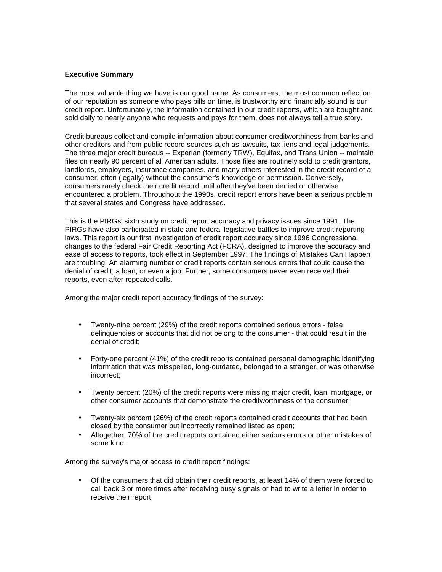#### **Executive Summary**

The most valuable thing we have is our good name. As consumers, the most common reflection of our reputation as someone who pays bills on time, is trustworthy and financially sound is our credit report. Unfortunately, the information contained in our credit reports, which are bought and sold daily to nearly anyone who requests and pays for them, does not always tell a true story.

Credit bureaus collect and compile information about consumer creditworthiness from banks and other creditors and from public record sources such as lawsuits, tax liens and legal judgements. The three major credit bureaus -- Experian (formerly TRW), Equifax, and Trans Union -- maintain files on nearly 90 percent of all American adults. Those files are routinely sold to credit grantors, landlords, employers, insurance companies, and many others interested in the credit record of a consumer, often (legally) without the consumer's knowledge or permission. Conversely, consumers rarely check their credit record until after they've been denied or otherwise encountered a problem. Throughout the 1990s, credit report errors have been a serious problem that several states and Congress have addressed.

This is the PIRGs' sixth study on credit report accuracy and privacy issues since 1991. The PIRGs have also participated in state and federal legislative battles to improve credit reporting laws. This report is our first investigation of credit report accuracy since 1996 Congressional changes to the federal Fair Credit Reporting Act (FCRA), designed to improve the accuracy and ease of access to reports, took effect in September 1997. The findings of Mistakes Can Happen are troubling. An alarming number of credit reports contain serious errors that could cause the denial of credit, a loan, or even a job. Further, some consumers never even received their reports, even after repeated calls.

Among the major credit report accuracy findings of the survey:

- Twenty-nine percent (29%) of the credit reports contained serious errors false delinquencies or accounts that did not belong to the consumer - that could result in the denial of credit;
- Forty-one percent (41%) of the credit reports contained personal demographic identifying information that was misspelled, long-outdated, belonged to a stranger, or was otherwise incorrect;
- Twenty percent (20%) of the credit reports were missing major credit, loan, mortgage, or other consumer accounts that demonstrate the creditworthiness of the consumer;
- Twenty-six percent (26%) of the credit reports contained credit accounts that had been closed by the consumer but incorrectly remained listed as open;
- Altogether, 70% of the credit reports contained either serious errors or other mistakes of some kind.

Among the survey's major access to credit report findings:

• Of the consumers that did obtain their credit reports, at least 14% of them were forced to call back 3 or more times after receiving busy signals or had to write a letter in order to receive their report;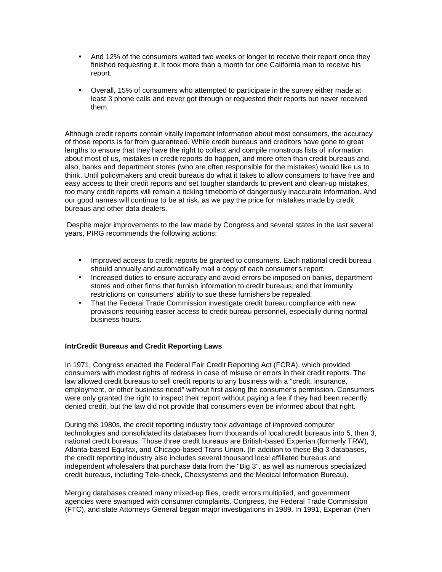- And 12% of the consumers waited two weeks or longer to receive their report once they finished requesting it. It took more than a month for one California man to receive his report.
- Overall, 15% of consumers who attempted to participate in the survey either made at least 3 phone calls and never got through or requested their reports but never received them.

Although credit reports contain vitally important information about most consumers, the accuracy of those reports is far from guaranteed. While credit bureaus and creditors have gone to great lengths to ensure that they have the right to collect and compile monstrous lists of information about most of us, mistakes in credit reports do happen, and more often than credit bureaus and, also, banks and department stores (who are often responsible for the mistakes) would like us to think. Until policymakers and credit bureaus do what it takes to allow consumers to have free and easy access to their credit reports and set tougher standards to prevent and clean-up mistakes, too many credit reports will remain a ticking timebomb of dangerously inaccurate information. And our good names will continue to be at risk, as we pay the price for mistakes made by credit bureaus and other data dealers.

 Despite major improvements to the law made by Congress and several states in the last several years, PIRG recommends the following actions:

- Improved access to credit reports be granted to consumers. Each national credit bureau should annually and automatically mail a copy of each consumer's report.
- Increased duties to ensure accuracy and avoid errors be imposed on banks, department stores and other firms that furnish information to credit bureaus, and that immunity restrictions on consumers' ability to sue these furnishers be repealed.
- That the Federal Trade Commission investigate credit bureau compliance with new provisions requiring easier access to credit bureau personnel, especially during normal business hours.

# **IntrCredit Bureaus and Credit Reporting Laws**

In 1971, Congress enacted the Federal Fair Credit Reporting Act (FCRA), which provided consumers with modest rights of redress in case of misuse or errors in their credit reports. The law allowed credit bureaus to sell credit reports to any business with a "credit, insurance, employment, or other business need" without first asking the consumer's permission. Consumers were only granted the right to inspect their report without paying a fee if they had been recently denied credit, but the law did not provide that consumers even be informed about that right.

During the 1980s, the credit reporting industry took advantage of improved computer technologies and consolidated its databases from thousands of local credit bureaus into 5, then 3, national credit bureaus. Those three credit bureaus are British-based Experian (formerly TRW), Atlanta-based Equifax, and Chicago-based Trans Union. (In addition to these Big 3 databases, the credit reporting industry also includes several thousand local affiliated bureaus and independent wholesalers that purchase data from the "Big 3", as well as numerous specialized credit bureaus, including Tele-check, Chexsystems and the Medical Information Bureau).

Merging databases created many mixed-up files, credit errors multiplied, and government agencies were swamped with consumer complaints. Congress, the Federal Trade Commission (FTC), and state Attorneys General began major investigations in 1989. In 1991, Experian (then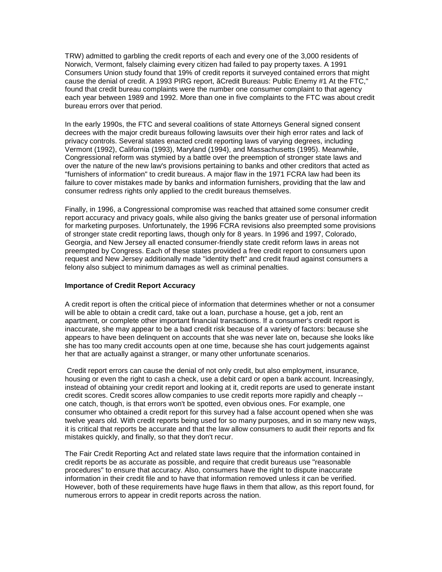TRW) admitted to garbling the credit reports of each and every one of the 3,000 residents of Norwich, Vermont, falsely claiming every citizen had failed to pay property taxes. A 1991 Consumers Union study found that 19% of credit reports it surveyed contained errors that might cause the denial of credit. A 1993 PIRG report, ãCredit Bureaus: Public Enemy #1 At the FTC," found that credit bureau complaints were the number one consumer complaint to that agency each year between 1989 and 1992. More than one in five complaints to the FTC was about credit bureau errors over that period.

In the early 1990s, the FTC and several coalitions of state Attorneys General signed consent decrees with the major credit bureaus following lawsuits over their high error rates and lack of privacy controls. Several states enacted credit reporting laws of varying degrees, including Vermont (1992), California (1993), Maryland (1994), and Massachusetts (1995). Meanwhile, Congressional reform was stymied by a battle over the preemption of stronger state laws and over the nature of the new law's provisions pertaining to banks and other creditors that acted as "furnishers of information" to credit bureaus. A major flaw in the 1971 FCRA law had been its failure to cover mistakes made by banks and information furnishers, providing that the law and consumer redress rights only applied to the credit bureaus themselves.

Finally, in 1996, a Congressional compromise was reached that attained some consumer credit report accuracy and privacy goals, while also giving the banks greater use of personal information for marketing purposes. Unfortunately, the 1996 FCRA revisions also preempted some provisions of stronger state credit reporting laws, though only for 8 years. In 1996 and 1997, Colorado, Georgia, and New Jersey all enacted consumer-friendly state credit reform laws in areas not preempted by Congress. Each of these states provided a free credit report to consumers upon request and New Jersey additionally made "identity theft" and credit fraud against consumers a felony also subject to minimum damages as well as criminal penalties.

# **Importance of Credit Report Accuracy**

A credit report is often the critical piece of information that determines whether or not a consumer will be able to obtain a credit card, take out a loan, purchase a house, get a job, rent an apartment, or complete other important financial transactions. If a consumer's credit report is inaccurate, she may appear to be a bad credit risk because of a variety of factors: because she appears to have been delinquent on accounts that she was never late on, because she looks like she has too many credit accounts open at one time, because she has court judgements against her that are actually against a stranger, or many other unfortunate scenarios.

 Credit report errors can cause the denial of not only credit, but also employment, insurance, housing or even the right to cash a check, use a debit card or open a bank account. Increasingly, instead of obtaining your credit report and looking at it, credit reports are used to generate instant credit scores. Credit scores allow companies to use credit reports more rapidly and cheaply - one catch, though, is that errors won't be spotted, even obvious ones. For example, one consumer who obtained a credit report for this survey had a false account opened when she was twelve years old. With credit reports being used for so many purposes, and in so many new ways, it is critical that reports be accurate and that the law allow consumers to audit their reports and fix mistakes quickly, and finally, so that they don't recur.

The Fair Credit Reporting Act and related state laws require that the information contained in credit reports be as accurate as possible, and require that credit bureaus use "reasonable procedures" to ensure that accuracy. Also, consumers have the right to dispute inaccurate information in their credit file and to have that information removed unless it can be verified. However, both of these requirements have huge flaws in them that allow, as this report found, for numerous errors to appear in credit reports across the nation.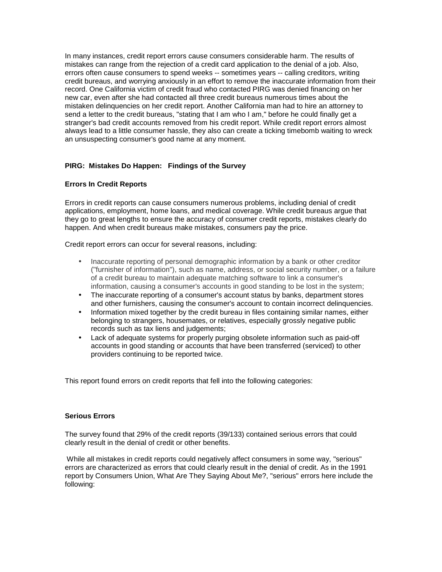In many instances, credit report errors cause consumers considerable harm. The results of mistakes can range from the rejection of a credit card application to the denial of a job. Also, errors often cause consumers to spend weeks -- sometimes years -- calling creditors, writing credit bureaus, and worrying anxiously in an effort to remove the inaccurate information from their record. One California victim of credit fraud who contacted PIRG was denied financing on her new car, even after she had contacted all three credit bureaus numerous times about the mistaken delinquencies on her credit report. Another California man had to hire an attorney to send a letter to the credit bureaus, "stating that I am who I am," before he could finally get a stranger's bad credit accounts removed from his credit report. While credit report errors almost always lead to a little consumer hassle, they also can create a ticking timebomb waiting to wreck an unsuspecting consumer's good name at any moment.

# **PIRG: Mistakes Do Happen: Findings of the Survey**

# **Errors In Credit Reports**

Errors in credit reports can cause consumers numerous problems, including denial of credit applications, employment, home loans, and medical coverage. While credit bureaus argue that they go to great lengths to ensure the accuracy of consumer credit reports, mistakes clearly do happen. And when credit bureaus make mistakes, consumers pay the price.

Credit report errors can occur for several reasons, including:

- Inaccurate reporting of personal demographic information by a bank or other creditor ("furnisher of information"), such as name, address, or social security number, or a failure of a credit bureau to maintain adequate matching software to link a consumer's information, causing a consumer's accounts in good standing to be lost in the system;
- The inaccurate reporting of a consumer's account status by banks, department stores and other furnishers, causing the consumer's account to contain incorrect delinquencies.
- Information mixed together by the credit bureau in files containing similar names, either belonging to strangers, housemates, or relatives, especially grossly negative public records such as tax liens and judgements;
- Lack of adequate systems for properly purging obsolete information such as paid-off accounts in good standing or accounts that have been transferred (serviced) to other providers continuing to be reported twice.

This report found errors on credit reports that fell into the following categories:

# **Serious Errors**

The survey found that 29% of the credit reports (39/133) contained serious errors that could clearly result in the denial of credit or other benefits.

 While all mistakes in credit reports could negatively affect consumers in some way, "serious" errors are characterized as errors that could clearly result in the denial of credit. As in the 1991 report by Consumers Union, What Are They Saying About Me?, "serious" errors here include the following: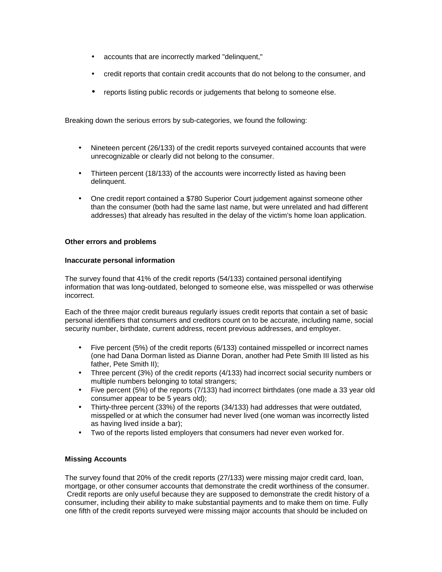- accounts that are incorrectly marked "delinquent,"
- credit reports that contain credit accounts that do not belong to the consumer, and
- reports listing public records or judgements that belong to someone else.

Breaking down the serious errors by sub-categories, we found the following:

- Nineteen percent (26/133) of the credit reports surveyed contained accounts that were unrecognizable or clearly did not belong to the consumer.
- Thirteen percent (18/133) of the accounts were incorrectly listed as having been delinquent.
- One credit report contained a \$780 Superior Court judgement against someone other than the consumer (both had the same last name, but were unrelated and had different addresses) that already has resulted in the delay of the victim's home loan application.

# **Other errors and problems**

#### **Inaccurate personal information**

The survey found that 41% of the credit reports (54/133) contained personal identifying information that was long-outdated, belonged to someone else, was misspelled or was otherwise incorrect.

Each of the three major credit bureaus regularly issues credit reports that contain a set of basic personal identifiers that consumers and creditors count on to be accurate, including name, social security number, birthdate, current address, recent previous addresses, and employer.

- Five percent (5%) of the credit reports (6/133) contained misspelled or incorrect names (one had Dana Dorman listed as Dianne Doran, another had Pete Smith III listed as his father, Pete Smith II);
- Three percent (3%) of the credit reports (4/133) had incorrect social security numbers or multiple numbers belonging to total strangers;
- Five percent (5%) of the reports (7/133) had incorrect birthdates (one made a 33 year old consumer appear to be 5 years old);
- Thirty-three percent (33%) of the reports (34/133) had addresses that were outdated, misspelled or at which the consumer had never lived (one woman was incorrectly listed as having lived inside a bar);
- Two of the reports listed employers that consumers had never even worked for.

# **Missing Accounts**

The survey found that 20% of the credit reports (27/133) were missing major credit card, loan, mortgage, or other consumer accounts that demonstrate the credit worthiness of the consumer. Credit reports are only useful because they are supposed to demonstrate the credit history of a consumer, including their ability to make substantial payments and to make them on time. Fully one fifth of the credit reports surveyed were missing major accounts that should be included on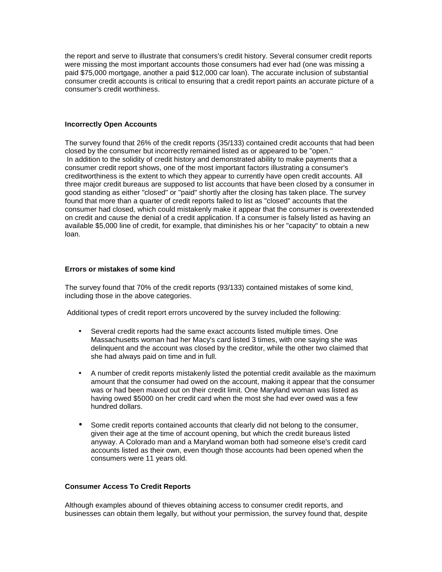the report and serve to illustrate that consumers's credit history. Several consumer credit reports were missing the most important accounts those consumers had ever had (one was missing a paid \$75,000 mortgage, another a paid \$12,000 car loan). The accurate inclusion of substantial consumer credit accounts is critical to ensuring that a credit report paints an accurate picture of a consumer's credit worthiness.

#### **Incorrectly Open Accounts**

The survey found that 26% of the credit reports (35/133) contained credit accounts that had been closed by the consumer but incorrectly remained listed as or appeared to be "open." In addition to the solidity of credit history and demonstrated ability to make payments that a consumer credit report shows, one of the most important factors illustrating a consumer's creditworthiness is the extent to which they appear to currently have open credit accounts. All three major credit bureaus are supposed to list accounts that have been closed by a consumer in good standing as either "closed" or "paid" shortly after the closing has taken place. The survey found that more than a quarter of credit reports failed to list as "closed" accounts that the consumer had closed, which could mistakenly make it appear that the consumer is overextended on credit and cause the denial of a credit application. If a consumer is falsely listed as having an available \$5,000 line of credit, for example, that diminishes his or her "capacity" to obtain a new loan.

#### **Errors or mistakes of some kind**

The survey found that 70% of the credit reports (93/133) contained mistakes of some kind, including those in the above categories.

Additional types of credit report errors uncovered by the survey included the following:

- Several credit reports had the same exact accounts listed multiple times. One Massachusetts woman had her Macy's card listed 3 times, with one saying she was delinquent and the account was closed by the creditor, while the other two claimed that she had always paid on time and in full.
- A number of credit reports mistakenly listed the potential credit available as the maximum amount that the consumer had owed on the account, making it appear that the consumer was or had been maxed out on their credit limit. One Maryland woman was listed as having owed \$5000 on her credit card when the most she had ever owed was a few hundred dollars.
- Some credit reports contained accounts that clearly did not belong to the consumer, given their age at the time of account opening, but which the credit bureaus listed anyway. A Colorado man and a Maryland woman both had someone else's credit card accounts listed as their own, even though those accounts had been opened when the consumers were 11 years old.

# **Consumer Access To Credit Reports**

Although examples abound of thieves obtaining access to consumer credit reports, and businesses can obtain them legally, but without your permission, the survey found that, despite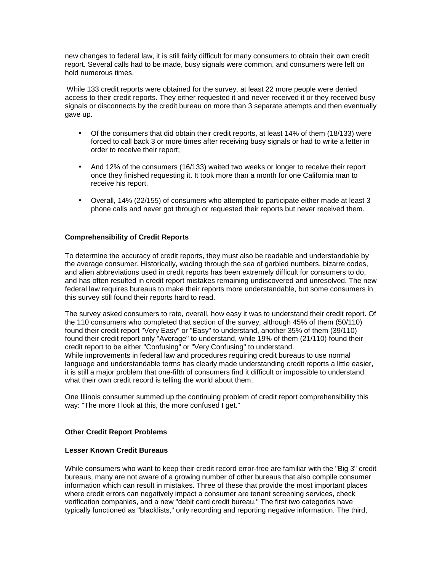new changes to federal law, it is still fairly difficult for many consumers to obtain their own credit report. Several calls had to be made, busy signals were common, and consumers were left on hold numerous times.

 While 133 credit reports were obtained for the survey, at least 22 more people were denied access to their credit reports. They either requested it and never received it or they received busy signals or disconnects by the credit bureau on more than 3 separate attempts and then eventually gave up.

- Of the consumers that did obtain their credit reports, at least 14% of them (18/133) were forced to call back 3 or more times after receiving busy signals or had to write a letter in order to receive their report;
- And 12% of the consumers (16/133) waited two weeks or longer to receive their report once they finished requesting it. It took more than a month for one California man to receive his report.
- Overall, 14% (22/155) of consumers who attempted to participate either made at least 3 phone calls and never got through or requested their reports but never received them.

# **Comprehensibility of Credit Reports**

To determine the accuracy of credit reports, they must also be readable and understandable by the average consumer. Historically, wading through the sea of garbled numbers, bizarre codes, and alien abbreviations used in credit reports has been extremely difficult for consumers to do, and has often resulted in credit report mistakes remaining undiscovered and unresolved. The new federal law requires bureaus to make their reports more understandable, but some consumers in this survey still found their reports hard to read.

The survey asked consumers to rate, overall, how easy it was to understand their credit report. Of the 110 consumers who completed that section of the survey, although 45% of them (50/110) found their credit report "Very Easy" or "Easy" to understand, another 35% of them (39/110) found their credit report only "Average" to understand, while 19% of them (21/110) found their credit report to be either "Confusing" or "Very Confusing" to understand. While improvements in federal law and procedures requiring credit bureaus to use normal language and understandable terms has clearly made understanding credit reports a little easier, it is still a major problem that one-fifth of consumers find it difficult or impossible to understand what their own credit record is telling the world about them.

One Illinois consumer summed up the continuing problem of credit report comprehensibility this way: "The more I look at this, the more confused I get."

# **Other Credit Report Problems**

# **Lesser Known Credit Bureaus**

While consumers who want to keep their credit record error-free are familiar with the "Big 3" credit bureaus, many are not aware of a growing number of other bureaus that also compile consumer information which can result in mistakes. Three of these that provide the most important places where credit errors can negatively impact a consumer are tenant screening services, check verification companies, and a new "debit card credit bureau." The first two categories have typically functioned as "blacklists," only recording and reporting negative information. The third,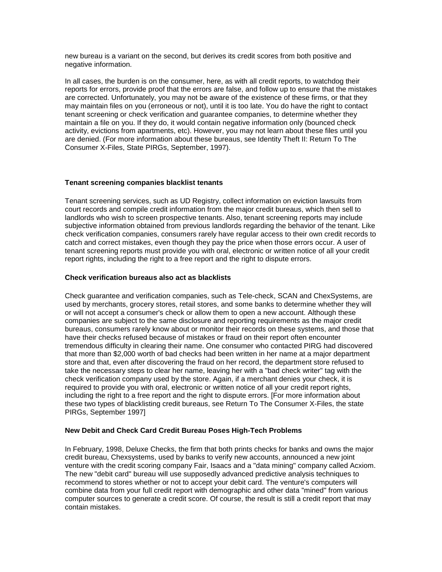new bureau is a variant on the second, but derives its credit scores from both positive and negative information.

In all cases, the burden is on the consumer, here, as with all credit reports, to watchdog their reports for errors, provide proof that the errors are false, and follow up to ensure that the mistakes are corrected. Unfortunately, you may not be aware of the existence of these firms, or that they may maintain files on you (erroneous or not), until it is too late. You do have the right to contact tenant screening or check verification and guarantee companies, to determine whether they maintain a file on you. If they do, it would contain negative information only (bounced check activity, evictions from apartments, etc). However, you may not learn about these files until you are denied. (For more information about these bureaus, see Identity Theft II: Return To The Consumer X-Files, State PIRGs, September, 1997).

# **Tenant screening companies blacklist tenants**

Tenant screening services, such as UD Registry, collect information on eviction lawsuits from court records and compile credit information from the major credit bureaus, which then sell to landlords who wish to screen prospective tenants. Also, tenant screening reports may include subjective information obtained from previous landlords regarding the behavior of the tenant. Like check verification companies, consumers rarely have regular access to their own credit records to catch and correct mistakes, even though they pay the price when those errors occur. A user of tenant screening reports must provide you with oral, electronic or written notice of all your credit report rights, including the right to a free report and the right to dispute errors.

# **Check verification bureaus also act as blacklists**

Check guarantee and verification companies, such as Tele-check, SCAN and ChexSystems, are used by merchants, grocery stores, retail stores, and some banks to determine whether they will or will not accept a consumer's check or allow them to open a new account. Although these companies are subject to the same disclosure and reporting requirements as the major credit bureaus, consumers rarely know about or monitor their records on these systems, and those that have their checks refused because of mistakes or fraud on their report often encounter tremendous difficulty in clearing their name. One consumer who contacted PIRG had discovered that more than \$2,000 worth of bad checks had been written in her name at a major department store and that, even after discovering the fraud on her record, the department store refused to take the necessary steps to clear her name, leaving her with a "bad check writer" tag with the check verification company used by the store. Again, if a merchant denies your check, it is required to provide you with oral, electronic or written notice of all your credit report rights, including the right to a free report and the right to dispute errors. [For more information about these two types of blacklisting credit bureaus, see Return To The Consumer X-Files, the state PIRGs, September 1997]

# **New Debit and Check Card Credit Bureau Poses High-Tech Problems**

In February, 1998, Deluxe Checks, the firm that both prints checks for banks and owns the major credit bureau, Chexsystems, used by banks to verify new accounts, announced a new joint venture with the credit scoring company Fair, Isaacs and a "data mining" company called Acxiom. The new "debit card" bureau will use supposedly advanced predictive analysis techniques to recommend to stores whether or not to accept your debit card. The venture's computers will combine data from your full credit report with demographic and other data "mined" from various computer sources to generate a credit score. Of course, the result is still a credit report that may contain mistakes.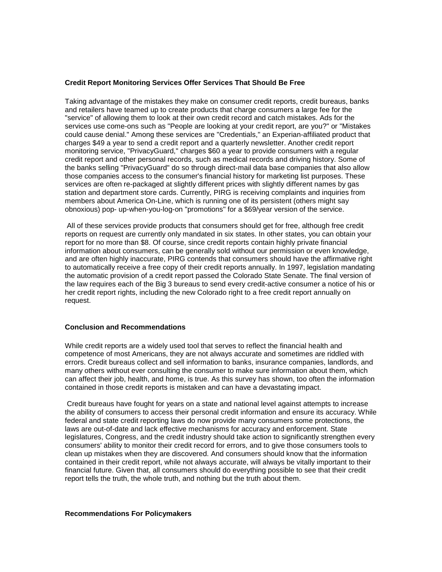#### **Credit Report Monitoring Services Offer Services That Should Be Free**

Taking advantage of the mistakes they make on consumer credit reports, credit bureaus, banks and retailers have teamed up to create products that charge consumers a large fee for the "service" of allowing them to look at their own credit record and catch mistakes. Ads for the services use come-ons such as "People are looking at your credit report, are you?" or "Mistakes could cause denial." Among these services are "Credentials," an Experian-affiliated product that charges \$49 a year to send a credit report and a quarterly newsletter. Another credit report monitoring service, "PrivacyGuard," charges \$60 a year to provide consumers with a regular credit report and other personal records, such as medical records and driving history. Some of the banks selling "PrivacyGuard" do so through direct-mail data base companies that also allow those companies access to the consumer's financial history for marketing list purposes. These services are often re-packaged at slightly different prices with slightly different names by gas station and department store cards. Currently, PIRG is receiving complaints and inquiries from members about America On-Line, which is running one of its persistent (others might say obnoxious) pop- up-when-you-log-on "promotions" for a \$69/year version of the service.

 All of these services provide products that consumers should get for free, although free credit reports on request are currently only mandated in six states. In other states, you can obtain your report for no more than \$8. Of course, since credit reports contain highly private financial information about consumers, can be generally sold without our permission or even knowledge, and are often highly inaccurate, PIRG contends that consumers should have the affirmative right to automatically receive a free copy of their credit reports annually. In 1997, legislation mandating the automatic provision of a credit report passed the Colorado State Senate. The final version of the law requires each of the Big 3 bureaus to send every credit-active consumer a notice of his or her credit report rights, including the new Colorado right to a free credit report annually on request.

#### **Conclusion and Recommendations**

While credit reports are a widely used tool that serves to reflect the financial health and competence of most Americans, they are not always accurate and sometimes are riddled with errors. Credit bureaus collect and sell information to banks, insurance companies, landlords, and many others without ever consulting the consumer to make sure information about them, which can affect their job, health, and home, is true. As this survey has shown, too often the information contained in those credit reports is mistaken and can have a devastating impact.

 Credit bureaus have fought for years on a state and national level against attempts to increase the ability of consumers to access their personal credit information and ensure its accuracy. While federal and state credit reporting laws do now provide many consumers some protections, the laws are out-of-date and lack effective mechanisms for accuracy and enforcement. State legislatures, Congress, and the credit industry should take action to significantly strengthen every consumers' ability to monitor their credit record for errors, and to give those consumers tools to clean up mistakes when they are discovered. And consumers should know that the information contained in their credit report, while not always accurate, will always be vitally important to their financial future. Given that, all consumers should do everything possible to see that their credit report tells the truth, the whole truth, and nothing but the truth about them.

#### **Recommendations For Policymakers**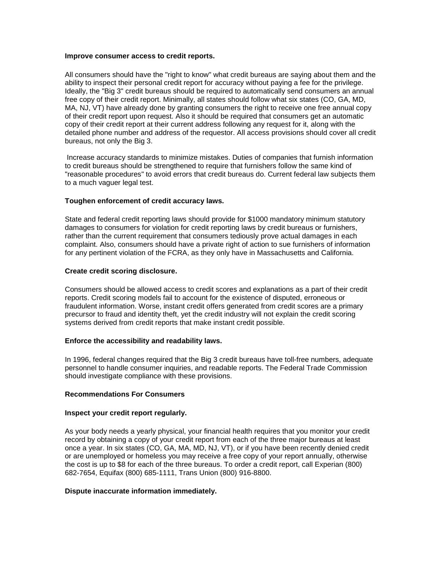#### **Improve consumer access to credit reports.**

All consumers should have the "right to know" what credit bureaus are saying about them and the ability to inspect their personal credit report for accuracy without paying a fee for the privilege. Ideally, the "Big 3" credit bureaus should be required to automatically send consumers an annual free copy of their credit report. Minimally, all states should follow what six states (CO, GA, MD, MA, NJ, VT) have already done by granting consumers the right to receive one free annual copy of their credit report upon request. Also it should be required that consumers get an automatic copy of their credit report at their current address following any request for it, along with the detailed phone number and address of the requestor. All access provisions should cover all credit bureaus, not only the Big 3.

 Increase accuracy standards to minimize mistakes. Duties of companies that furnish information to credit bureaus should be strengthened to require that furnishers follow the same kind of "reasonable procedures" to avoid errors that credit bureaus do. Current federal law subjects them to a much vaguer legal test.

# **Toughen enforcement of credit accuracy laws.**

State and federal credit reporting laws should provide for \$1000 mandatory minimum statutory damages to consumers for violation for credit reporting laws by credit bureaus or furnishers, rather than the current requirement that consumers tediously prove actual damages in each complaint. Also, consumers should have a private right of action to sue furnishers of information for any pertinent violation of the FCRA, as they only have in Massachusetts and California.

# **Create credit scoring disclosure.**

Consumers should be allowed access to credit scores and explanations as a part of their credit reports. Credit scoring models fail to account for the existence of disputed, erroneous or fraudulent information. Worse, instant credit offers generated from credit scores are a primary precursor to fraud and identity theft, yet the credit industry will not explain the credit scoring systems derived from credit reports that make instant credit possible.

# **Enforce the accessibility and readability laws.**

In 1996, federal changes required that the Big 3 credit bureaus have toll-free numbers, adequate personnel to handle consumer inquiries, and readable reports. The Federal Trade Commission should investigate compliance with these provisions.

# **Recommendations For Consumers**

# **Inspect your credit report regularly.**

As your body needs a yearly physical, your financial health requires that you monitor your credit record by obtaining a copy of your credit report from each of the three major bureaus at least once a year. In six states (CO, GA, MA, MD, NJ, VT), or if you have been recently denied credit or are unemployed or homeless you may receive a free copy of your report annually, otherwise the cost is up to \$8 for each of the three bureaus. To order a credit report, call Experian (800) 682-7654, Equifax (800) 685-1111, Trans Union (800) 916-8800.

#### **Dispute inaccurate information immediately.**